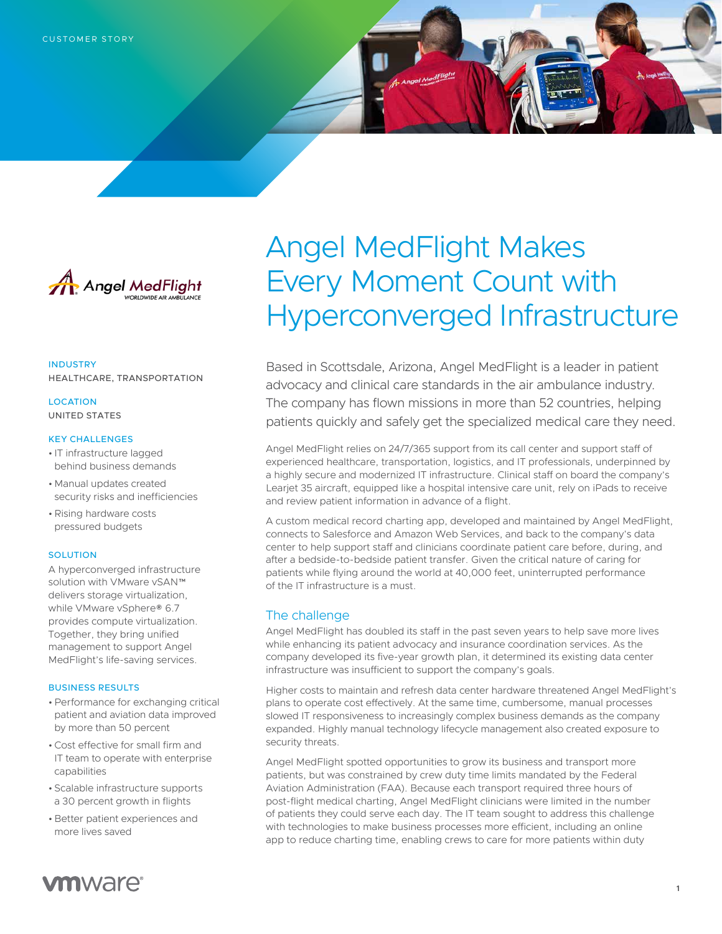

INDUSTRY HEALTHCARE, TRANSPORTATION

**LOCATION** UNITED STATES

#### KEY CHALLENGES

- IT infrastructure lagged behind business demands
- Manual updates created security risks and inefficiencies
- •Rising hardware costs pressured budgets

### **SOLUTION**

A hyperconverged infrastructure solution with VMware vSAN™ delivers storage virtualization, while VMware vSphere® 6.7 provides compute virtualization. Together, they bring unified management to support Angel MedFlight's life-saving services.

### BUSINESS RESULTS

- •Performance for exchanging critical patient and aviation data improved by more than 50 percent
- •Cost effective for small firm and IT team to operate with enterprise capabilities
- Scalable infrastructure supports a 30 percent growth in flights
- Better patient experiences and more lives saved

# Angel MedFlight Makes Every Moment Count with Hyperconverged Infrastructure

Based in Scottsdale, Arizona, Angel MedFlight is a leader in patient advocacy and clinical care standards in the air ambulance industry. The company has flown missions in more than 52 countries, helping patients quickly and safely get the specialized medical care they need.

Angel MedFlight relies on 24/7/365 support from its call center and support staff of experienced healthcare, transportation, logistics, and IT professionals, underpinned by a highly secure and modernized IT infrastructure. Clinical staff on board the company's Learjet 35 aircraft, equipped like a hospital intensive care unit, rely on iPads to receive and review patient information in advance of a flight.

A custom medical record charting app, developed and maintained by Angel MedFlight, connects to Salesforce and Amazon Web Services, and back to the company's data center to help support staff and clinicians coordinate patient care before, during, and after a bedside-to-bedside patient transfer. Given the critical nature of caring for patients while flying around the world at 40,000 feet, uninterrupted performance of the IT infrastructure is a must.

## The challenge

Angel MedFlight has doubled its staff in the past seven years to help save more lives while enhancing its patient advocacy and insurance coordination services. As the company developed its five-year growth plan, it determined its existing data center infrastructure was insufficient to support the company's goals.

Higher costs to maintain and refresh data center hardware threatened Angel MedFlight's plans to operate cost effectively. At the same time, cumbersome, manual processes slowed IT responsiveness to increasingly complex business demands as the company expanded. Highly manual technology lifecycle management also created exposure to security threats.

Angel MedFlight spotted opportunities to grow its business and transport more patients, but was constrained by crew duty time limits mandated by the Federal Aviation Administration (FAA). Because each transport required three hours of post-flight medical charting, Angel MedFlight clinicians were limited in the number of patients they could serve each day. The IT team sought to address this challenge with technologies to make business processes more efficient, including an online app to reduce charting time, enabling crews to care for more patients within duty

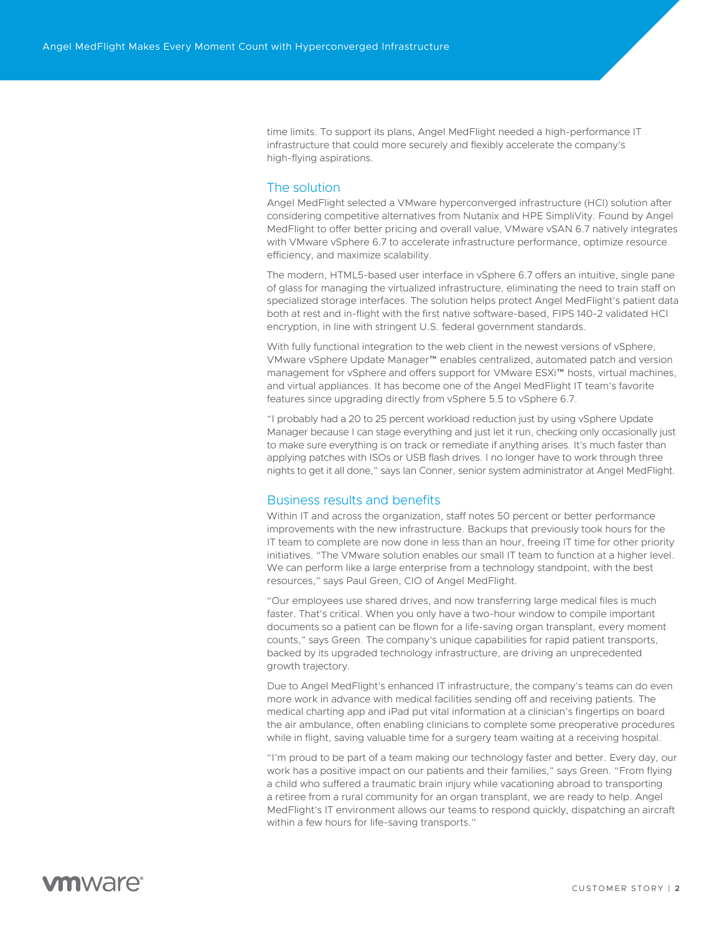time limits. To support its plans, Angel MedFlight needed a high-performance IT infrastructure that could more securely and flexibly accelerate the company's high-flying aspirations.

## The solution

Angel MedFlight selected a VMware hyperconverged infrastructure (HCI) solution after considering competitive alternatives from Nutanix and HPE SimpliVity. Found by Angel MedFlight to offer better pricing and overall value, VMware vSAN 6.7 natively integrates with VMware vSphere 6.7 to accelerate infrastructure performance, optimize resource efficiency, and maximize scalability.

The modern, HTML5-based user interface in vSphere 6.7 offers an intuitive, single pane of glass for managing the virtualized infrastructure, eliminating the need to train staff on specialized storage interfaces. The solution helps protect Angel MedFlight's patient data both at rest and in-flight with the first native software-based, FIPS 140-2 validated HCI encryption, in line with stringent U.S. federal government standards.

With fully functional integration to the web client in the newest versions of vSphere, VMware vSphere Update Manager™ enables centralized, automated patch and version management for vSphere and offers support for VMware ESXi™ hosts, virtual machines, and virtual appliances. It has become one of the Angel MedFlight IT team's favorite features since upgrading directly from vSphere 5.5 to vSphere 6.7.

"I probably had a 20 to 25 percent workload reduction just by using vSphere Update Manager because I can stage everything and just let it run, checking only occasionally just to make sure everything is on track or remediate if anything arises. It's much faster than applying patches with ISOs or USB flash drives. I no longer have to work through three nights to get it all done," says Ian Conner, senior system administrator at Angel MedFlight.

## Business results and benefits

Within IT and across the organization, staff notes 50 percent or better performance improvements with the new infrastructure. Backups that previously took hours for the IT team to complete are now done in less than an hour, freeing IT time for other priority initiatives. "The VMware solution enables our small IT team to function at a higher level. We can perform like a large enterprise from a technology standpoint, with the best resources," says Paul Green, CIO of Angel MedFlight.

"Our employees use shared drives, and now transferring large medical files is much faster. That's critical. When you only have a two-hour window to compile important documents so a patient can be flown for a life-saving organ transplant, every moment counts," says Green. The company's unique capabilities for rapid patient transports, backed by its upgraded technology infrastructure, are driving an unprecedented growth trajectory.

Due to Angel MedFlight's enhanced IT infrastructure, the company's teams can do even more work in advance with medical facilities sending off and receiving patients. The medical charting app and iPad put vital information at a clinician's fingertips on board the air ambulance, often enabling clinicians to complete some preoperative procedures while in flight, saving valuable time for a surgery team waiting at a receiving hospital.

"I'm proud to be part of a team making our technology faster and better. Every day, our work has a positive impact on our patients and their families," says Green. "From flying a child who suffered a traumatic brain injury while vacationing abroad to transporting a retiree from a rural community for an organ transplant, we are ready to help. Angel MedFlight's IT environment allows our teams to respond quickly, dispatching an aircraft within a few hours for life-saving transports."

## **vm**ware<sup>®</sup>